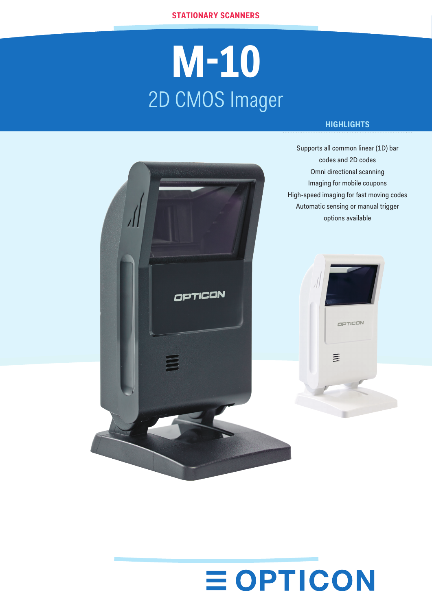# **M-10** 2D CMOS Imager

### **HIGHLIGHTS**